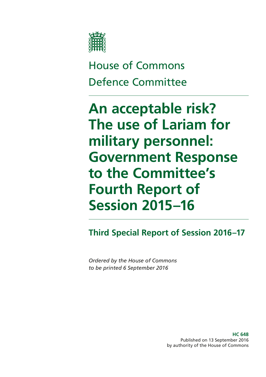

House of Commons Defence Committee

**An acceptable risk? The use of Lariam for military personnel: Government Response to the Committee's Fourth Report of Session 2015–16**

**Third Special Report of Session 2016–17**

*Ordered by the House of Commons to be printed 6 September 2016*

> **HC 648** Published on 13 September 2016 by authority of the House of Commons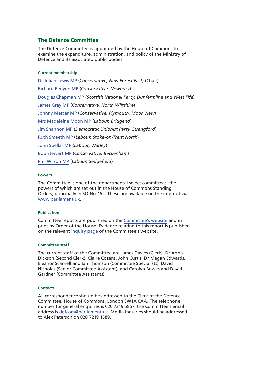#### **The Defence Committee**

The Defence Committee is appointed by the House of Commons to examine the expenditure, administration, and policy of the Ministry of Defence and its associated public bodies

#### **Current membership**

[Dr Julian Lewis MP](https://www.parliament.uk/biographies/commons/dr-julian-lewis/54) (*Conservative, New Forest East*) (Chair) [Richard Benyon MP](https://www.parliament.uk/biographies/commons/richard-benyon/1547) (*Conservative, Newbury*) [Douglas Chapman MP](https://www.parliament.uk/biographies/commons/douglas-chapman/4402) (*Scottish National Party, Dunfermline and West Fife*) [James Gray MP](https://www.parliament.uk/biographies/commons/james-gray/261) (*Conservative, North Wiltshire*) [Johnny Mercer MP](https://www.parliament.uk/biographies/commons/johnny-mercer/4485) (*Conservative, Plymouth, Moor View*) [Mrs Madeleine Moon MP](https://www.parliament.uk/biographies/commons/mrs-madeleine-moon/1490) (*Labour, Bridgend*) [Jim Shannon MP](https://www.parliament.uk/biographies/commons/jim-shannon/4131) (*Democratic Unionist Party, Strangford*) [Ruth Smeeth MP](https://www.parliament.uk/biographies/commons/ruth-smeeth/4508) (*Labour, Stoke-on-Trent North*) [John Spellar MP](https://www.parliament.uk/biographies/commons/john-spellar/318) (*Labour, Warley*) [Bob Stewart MP](https://www.parliament.uk/biographies/commons/bob-stewart/3919) (*Conservative, Beckenham*) [Phil Wilson MP](https://www.parliament.uk/biographies/commons/phil-wilson/1603) (*Labour, Sedgefield*)

#### **Powers**

The Committee is one of the departmental select committees, the powers of which are set out in the House of Commons Standing Orders, principally in SO No.152. These are available on the internet via [www.parliament.uk](http://www.parliament.uk).

#### **Publication**

Committee reports are published on the [Committee's website](http://www.parliament.uk/business/committees/committees-a-z/commons-select/defence-committee/) and in print by Order of the House. Evidence relating to this report is published on the relevant [inquiry page](https://www.parliament.uk/business/committees/committees-a-z/commons-select/defence-committee/inquiries/parliament-2015/inquiry/) of the Committee's website.

#### **Committee staff**

The current staff of the Committee are James Davies (Clerk), Dr Anna Dickson (Second Clerk), Claire Cozens, John Curtis, Dr Megan Edwards, Eleanor Scarnell and Ian Thomson (Committee Specialists), David Nicholas (Senior Committee Assistant), and Carolyn Bowes and David Gardner (Committee Assistants).

#### **Contacts**

All correspondence should be addressed to the Clerk of the Defence Committee, House of Commons, London SW1A 0AA. The telephone number for general enquiries is 020 7219 5857; the Committee's email address is [defcom@parliament.uk.](mailto:defcom@parliament.uk) Media inquiries should be addressed to Alex Paterson on 020 7219 1589.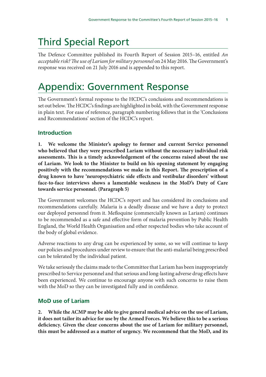# Third Special Report

The Defence Committee published its Fourth Report of Session 2015–16, entitled *An acceptable risk? The use of Lariam for military personnel* on 24 May 2016. The Government's response was received on 21 July 2016 and is appended to this report.

## Appendix: Government Response

The Government's formal response to the HCDC's conclusions and recommendations is set out below. The HCDC's findings are highlighted in bold, with the Government response in plain text. For ease of reference, paragraph numbering follows that in the 'Conclusions and Recommendations' section of the HCDC's report.

## **Introduction**

**1. We welcome the Minister's apology to former and current Service personnel who believed that they were prescribed Lariam without the necessary individual risk assessments. This is a timely acknowledgement of the concerns raised about the use of Lariam. We look to the Minister to build on his opening statement by engaging positively with the recommendations we make in this Report. The prescription of a drug known to have 'neuropsychiatric side effects and vestibular disorders' without face-to-face interviews shows a lamentable weakness in the MoD's Duty of Care towards service personnel. (Paragraph 5)**

The Government welcomes the HCDC's report and has considered its conclusions and recommendations carefully. Malaria is a deadly disease and we have a duty to protect our deployed personnel from it. Mefloquine (commercially known as Lariam) continues to be recommended as a safe and effective form of malaria prevention by Public Health England, the World Health Organisation and other respected bodies who take account of the body of global evidence.

Adverse reactions to any drug can be experienced by some, so we will continue to keep our policies and procedures under review to ensure that the anti-malarial being prescribed can be tolerated by the individual patient.

We take seriously the claims made to the Committee that Lariam has been inappropriately prescribed to Service personnel and that serious and long-lasting adverse drug effects have been experienced. We continue to encourage anyone with such concerns to raise them with the MoD so they can be investigated fully and in confidence.

## **MoD use of Lariam**

**2. While the ACMP may be able to give general medical advice on the use of Lariam, it does not tailor its advice for use by the Armed Forces. We believe this to be a serious deficiency. Given the clear concerns about the use of Lariam for military personnel, this must be addressed as a matter of urgency. We recommend that the MoD, and its**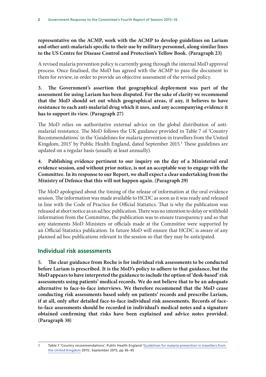**representative on the ACMP, work with the ACMP to develop guidelines on Lariam and other anti-malarials specific to their use by military personnel, along similar lines to the US Centre for Disease Control and Protection's Yellow Book. (Paragraph 23)**

A revised malaria prevention policy is currently going through the internal MoD approval process. Once finalised, the MoD has agreed with the ACMP to pass the document to them for review, in order to provide an objective assessment of the revised policy.

### **3. The Government's assertion that geographical deployment was part of the assessment for using Lariam has been disputed. For the sake of clarity we recommend that the MoD should set out which geographical areas, if any, it believes to have resistance to each anti-malarial drug which it uses, and any accompanying evidence it has to support its view. (Paragraph 27)**

The MoD relies on authoritative external advice on the global distribution of antimalarial resistance. The MoD follows the UK guidance provided in Table 7 of 'Country Recommendations' in the 'Guidelines for malaria prevention in travellers from the United Kingdom, 2015' by Public Health England, dated September 2015.<sup>1</sup> These guidelines are updated on a regular basis (usually at least annually).

**4. Publishing evidence pertinent to our inquiry on the day of a Ministerial oral evidence session, and without prior notice, is not an acceptable way to engage with the Committee. In its response to our Report, we shall expect a clear undertaking from the Ministry of Defence that this will not happen again. (Paragraph 29)**

The MoD apologised about the timing of the release of information at the oral evidence session. The information was made available to HCDC as soon as it was ready and released in line with the Code of Practice for Official Statistics. That is why the publication was released at short notice as an ad hoc publication. There was no intention to delay or withhold information from the Committee, the publication was to ensure transparency and so that any statements MoD Ministers or officials made at the Committee were supported by an Official Statistics publication. In future MoD will ensure that HCDC is aware of any planned ad hoc publications relevant to the session so that they may be anticipated.

## **Individual risk assessments**

**5. The clear guidance from Roche is for individual risk assessments to be conducted before Lariam is prescribed. It is the MoD's policy to adhere to that guidance, but the MoD appears to have interpreted the guidance to include the option of 'desk-based' risk assessments using patients' medical records. We do not believe that to be an adequate alternative to face-to-face interviews. We therefore recommend that the MoD cease conducting risk assessments based solely on patients' records and prescribe Lariam, if at all, only after detailed face-to-face individual risk assessments. Records of faceto-face assessments should be recorded in individual's medical notes and a signature obtained confirming that risks have been explained and advice notes provided. (Paragraph 38)**

<sup>1</sup> Table 7 'Country recommendations', Public Health England ['Guidelines for malaria prevention in travellers from](https://www.gov.uk/government/uploads/system/uploads/attachment_data/file/461295/2015.09.16_ACMP_guidelines_FINAL.pdf)  [the United Kingdom](https://www.gov.uk/government/uploads/system/uploads/attachment_data/file/461295/2015.09.16_ACMP_guidelines_FINAL.pdf) 2015', September 2015, pp 36–45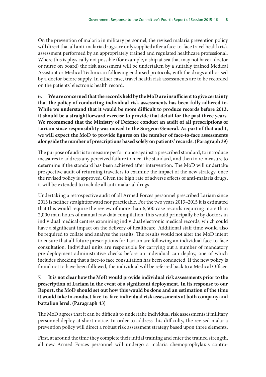On the prevention of malaria in military personnel, the revised malaria prevention policy will direct that all anti-malaria drugs are only supplied after a face-to-face travel health risk assessment performed by an appropriately trained and regulated healthcare professional. Where this is physically not possible (for example, a ship at sea that may not have a doctor or nurse on board) the risk assessment will be undertaken by a suitably trained Medical Assistant or Medical Technician following endorsed protocols, with the drugs authorised by a doctor before supply. In either case, travel health risk assessments are to be recorded on the patients' electronic health record.

**6. We are concerned that the records held by the MoD are insufficient to give certainty that the policy of conducting individual risk assessments has been fully adhered to. While we understand that it would be more difficult to produce records before 2013, it should be a straightforward exercise to provide that detail for the past three years. We recommend that the Ministry of Defence conduct an audit of all prescriptions of Lariam since responsibility was moved to the Surgeon General. As part of that audit, we will expect the MoD to provide figures on the number of face-to-face assessments alongside the number of prescriptions based solely on patients' records. (Paragraph 39)**

The purpose of audit is to measure performance against a prescribed standard, to introduce measures to address any perceived failure to meet the standard, and then to re-measure to determine if the standard has been achieved after intervention. The MoD will undertake prospective audit of returning travellers to examine the impact of the new strategy, once the revised policy is approved. Given the high rate of adverse effects of anti-malaria drugs, it will be extended to include all anti-malarial drugs.

Undertaking a retrospective audit of all Armed Forces personnel prescribed Lariam since 2013 is neither straightforward nor practicable. For the two years 2013–2015 it is estimated that this would require the review of more than 6,500 case records requiring more than 2,000 man hours of manual raw data compilation: this would principally be by doctors in individual medical centres examining individual electronic medical records, which could have a significant impact on the delivery of healthcare. Additional staff time would also be required to collate and analyse the results. The results would not alter the MoD intent to ensure that all future prescriptions for Lariam are following an individual face-to-face consultation. Individual units are responsible for carrying out a number of mandatory pre-deployment administrative checks before an individual can deploy, one of which includes checking that a face-to face consultation has been conducted. If the new policy is found not to have been followed, the individual will be referred back to a Medical Officer.

#### **7. It is not clear how the MoD would provide individual risk assessments prior to the prescription of Lariam in the event of a significant deployment. In its response to our Report, the MoD should set out how this would be done and an estimation of the time it would take to conduct face-to-face individual risk assessments at both company and battalion level. (Paragraph 43)**

The MoD agrees that it can be difficult to undertake individual risk assessments if military personnel deploy at short notice. In order to address this difficulty, the revised malaria prevention policy will direct a robust risk assessment strategy based upon three elements.

First, at around the time they complete their initial training and enter the trained strength, all new Armed Forces personnel will undergo a malaria chemoprophylaxis contra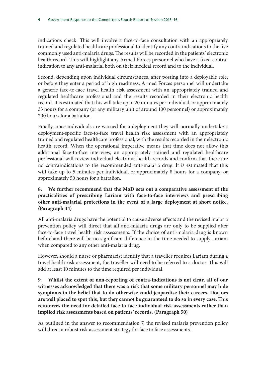indications check. This will involve a face-to-face consultation with an appropriately trained and regulated healthcare professional to identify any contraindications to the five commonly used anti-malaria drugs. The results will be recorded in the patients' electronic health record. This will highlight any Armed Forces personnel who have a fixed contraindication to any anti-malarial both on their medical record and to the individual.

Second, depending upon individual circumstances, after posting into a deployable role, or before they enter a period of high readiness, Armed Forces personnel will undertake a generic face-to-face travel health risk assessment with an appropriately trained and regulated healthcare professional and the results recorded in their electronic health record. It is estimated that this will take up to 20 minutes per individual, or approximately 33 hours for a company (or any military unit of around 100 personnel) or approximately 200 hours for a battalion.

Finally, once individuals are warned for a deployment they will normally undertake a deployment-specific face-to-face travel health risk assessment with an appropriately trained and regulated healthcare professional, with the results recorded in their electronic health record. When the operational imperative means that time does not allow this additional face-to-face interview, an appropriately trained and regulated healthcare professional will review individual electronic health records and confirm that there are no contraindications to the recommended anti-malaria drug. It is estimated that this will take up to 5 minutes per individual, or approximately 8 hours for a company, or approximately 50 hours for a battalion.

### **8. We further recommend that the MoD sets out a comparative assessment of the practicalities of prescribing Lariam with face-to-face interviews and prescribing other anti-malarial protections in the event of a large deployment at short notice. (Paragraph 44)**

All anti-malaria drugs have the potential to cause adverse effects and the revised malaria prevention policy will direct that all anti-malaria drugs are only to be supplied after face-to-face travel health risk assessments. If the choice of anti-malaria drug is known beforehand there will be no significant difference in the time needed to supply Lariam when compared to any other anti-malaria drug.

However, should a nurse or pharmacist identify that a traveller requires Lariam during a travel health risk assessment, the traveller will need to be referred to a doctor. This will add at least 10 minutes to the time required per individual.

**9. Whilst the extent of non-reporting of contra-indications is not clear, all of our witnesses acknowledged that there was a risk that some military personnel may hide symptoms in the belief that to do otherwise could jeopardise their careers. Doctors are well placed to spot this, but they cannot be guaranteed to do so in every case. This reinforces the need for detailed face-to-face individual risk assessments rather than implied risk assessments based on patients' records. (Paragraph 50)**

As outlined in the answer to recommendation 7, the revised malaria prevention policy will direct a robust risk assessment strategy for face to face assessments.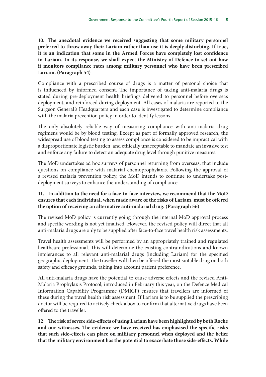**10. The anecdotal evidence we received suggesting that some military personnel preferred to throw away their Lariam rather than use it is deeply disturbing. If true, it is an indication that some in the Armed Forces have completely lost confidence in Lariam. In its response, we shall expect the Ministry of Defence to set out how it monitors compliance rates among military personnel who have been prescribed Lariam. (Paragraph 54)**

Compliance with a prescribed course of drugs is a matter of personal choice that is influenced by informed consent. The importance of taking anti-malaria drugs is stated during pre-deployment health briefings delivered to personnel before overseas deployment, and reinforced during deployment. All cases of malaria are reported to the Surgeon General's Headquarters and each case is investigated to determine compliance with the malaria prevention policy in order to identify lessons.

The only absolutely reliable way of measuring compliance with anti-malaria drug regimens would be by blood testing. Except as part of formally approved research, the widespread use of blood testing to assess compliance is considered to be impractical with a disproportionate logistic burden, and ethically unacceptable to mandate an invasive test and enforce any failure to detect an adequate drug level through punitive measures.

The MoD undertakes ad hoc surveys of personnel returning from overseas, that include questions on compliance with malarial chemoprophylaxis. Following the approval of a revised malaria prevention policy, the MoD intends to continue to undertake postdeployment surveys to enhance the understanding of compliance.

#### **11. In addition to the need for a face-to-face interview, we recommend that the MoD ensures that each individual, when made aware of the risks of Lariam, must be offered the option of receiving an alternative anti-malarial drug. (Paragraph 56)**

The revised MoD policy is currently going through the internal MoD approval process and specific wording is not yet finalised. However, the revised policy will direct that all anti-malaria drugs are only to be supplied after face-to-face travel health risk assessments.

Travel health assessments will be performed by an appropriately trained and regulated healthcare professional. This will determine the existing contraindications and known intolerances to all relevant anti-malarial drugs (including Lariam) for the specified geographic deployment. The traveller will then be offered the most suitable drug on both safety and efficacy grounds, taking into account patient preference.

All anti-malaria drugs have the potential to cause adverse effects and the revised Anti-Malaria Prophylaxis Protocol, introduced in February this year, on the Defence Medical Information Capability Programme (DMICP) ensures that travellers are informed of these during the travel health risk assessment. If Lariam is to be supplied the prescribing doctor will be required to actively check a box to confirm that alternative drugs have been offered to the traveller.

**12. The risk of severe side-effects of using Lariam have been highlighted by both Roche and our witnesses. The evidence we have received has emphasised the specific risks that such side-effects can place on military personnel when deployed and the belief that the military environment has the potential to exacerbate those side-effects. While**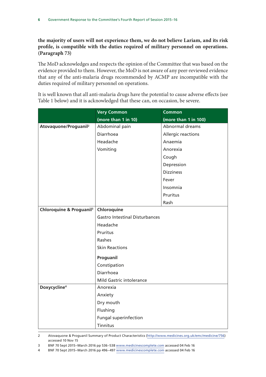**the majority of users will not experience them, we do not believe Lariam, and its risk profile, is compatible with the duties required of military personnel on operations. (Paragraph 73)**

The MoD acknowledges and respects the opinion of the Committee that was based on the evidence provided to them. However, the MoD is not aware of any peer-reviewed evidence that any of the anti-malaria drugs recommended by ACMP are incompatible with the duties required of military personnel on operations.

It is well known that all anti-malaria drugs have the potential to cause adverse effects (see Table 1 below) and it is acknowledged that these can, on occasion, be severe.

|                                      | <b>Very Common</b>                    | <b>Common</b>        |
|--------------------------------------|---------------------------------------|----------------------|
|                                      | (more than 1 in 10)                   | (more than 1 in 100) |
| Atovaquone/Proguanil <sup>2</sup>    | Abdominal pain                        | Abnormal dreams      |
|                                      | Diarrhoea                             | Allergic reactions   |
|                                      | Headache                              | Anaemia              |
|                                      | Vomiting                              | Anorexia             |
|                                      |                                       | Cough                |
|                                      |                                       | Depression           |
|                                      |                                       | <b>Dizziness</b>     |
|                                      |                                       | Fever                |
|                                      |                                       | Insomnia             |
|                                      |                                       | Pruritus             |
|                                      |                                       | Rash                 |
| Chloroquine & Proguanil <sup>3</sup> | Chloroquine                           |                      |
|                                      | <b>Gastro Intestinal Disturbances</b> |                      |
|                                      | Headache                              |                      |
|                                      | Pruritus                              |                      |
|                                      | Rashes                                |                      |
|                                      | <b>Skin Reactions</b>                 |                      |
|                                      | Proguanil                             |                      |
|                                      | Constipation                          |                      |
|                                      | Diarrhoea                             |                      |
|                                      | Mild Gastric intolerance              |                      |
| Doxycycline <sup>4</sup>             | Anorexia                              |                      |
|                                      | Anxiety                               |                      |
|                                      | Dry mouth                             |                      |
|                                      | Flushing                              |                      |
|                                      | <b>Fungal superinfection</b>          |                      |
|                                      | Tinnitus                              |                      |

2 Atovaquone & Proguanil Summary of Product Characteristics ([http://www.medicines.org.uk/emc/medicine/756\)](http://www.medicines.org.uk/emc/medicine/756) accessed 10 Nov 15

3 BNF 70 Sept 2015–March 2016 pp 536–538 [www.medicinescomplete.com](http://www.medicinescomplete.com) accessed 04 Feb 16

4 BNF 70 Sept 2015–March 2016 pp 496–497 [www.medicinescomplete.com](http://www.medicinescomplete.com) accessed 04 Feb 16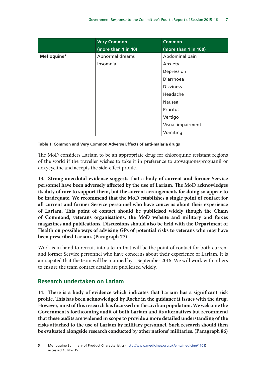|                         | <b>Very Common</b>  | <b>Common</b>        |
|-------------------------|---------------------|----------------------|
|                         | (more than 1 in 10) | (more than 1 in 100) |
| Mefloquine <sup>5</sup> | Abnormal dreams     | Abdominal pain       |
|                         | Insomnia            | Anxiety              |
|                         |                     | Depression           |
|                         |                     | Diarrhoea            |
|                         |                     | <b>Dizziness</b>     |
|                         |                     | Headache             |
|                         |                     | Nausea               |
|                         |                     | Pruritus             |
|                         |                     | Vertigo              |
|                         |                     | Visual impairment    |
|                         |                     | Vomiting             |

#### **Table 1: Common and Very Common Adverse Effects of anti-malaria drugs 5**

The MoD considers Lariam to be an appropriate drug for chloroquine resistant regions of the world if the traveller wishes to take it in preference to atovaquone/proguanil or doxycycline and accepts the side-effect profile.

**13. Strong anecdotal evidence suggests that a body of current and former Service personnel have been adversely affected by the use of Lariam. The MoD acknowledges its duty of care to support them, but the current arrangements for doing so appear to be inadequate. We recommend that the MoD establishes a single point of contact for all current and former Service personnel who have concerns about their experience of Lariam. This point of contact should be publicised widely though the Chain of Command, veterans organisations, the MoD website and military and forces magazines and publications. Discussions should also be held with the Department of Health on possible ways of advising GPs of potential risks to veterans who may have been prescribed Lariam. (Paragraph 77**)

Work is in hand to recruit into a team that will be the point of contact for both current and former Service personnel who have concerns about their experience of Lariam. It is anticipated that the team will be manned by 1 September 2016. We will work with others to ensure the team contact details are publicised widely.

#### **Research undertaken on Lariam**

**14. There is a body of evidence which indicates that Lariam has a significant risk profile. This has been acknowledged by Roche in the guidance it issues with the drug. However, most of this research has focussed on the civilian population. We welcome the Government's forthcoming audit of both Lariam and its alternatives but recommend that these audits are widened in scope to provide a more detailed understanding of the risks attached to the use of Lariam by military personnel. Such research should then be evaluated alongside research conducted by other nations' militaries. (Paragraph 86)**

<sup>5</sup> Mefloquine Summary of Product Characteristics [\(http://www.medicines.org.uk/emc/medicine/1701](http://www.medicines.org.uk/emc/medicine/1701)) accessed 10 Nov 15.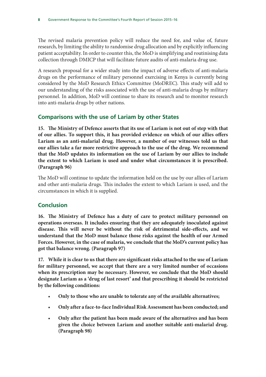The revised malaria prevention policy will reduce the need for, and value of, future research, by limiting the ability to randomise drug allocation and by explicitly influencing patient acceptability. In order to counter this, the MoD is simplifying and routinising data collection through DMICP that will facilitate future audits of anti-malaria drug use.

A research proposal for a wider study into the impact of adverse effects of anti-malaria drugs on the performance of military personnel exercising in Kenya is currently being considered by the MoD Research Ethics Committee (MoDREC). This study will add to our understanding of the risks associated with the use of anti-malaria drugs by military personnel. In addition, MoD will continue to share its research and to monitor research into anti-malaria drugs by other nations.

## **Comparisons with the use of Lariam by other States**

**15. The Ministry of Defence asserts that its use of Lariam is not out of step with that of our allies. To support this, it has provided evidence on which of our allies offers Lariam as an anti-malarial drug. However, a number of our witnesses told us that our allies take a far more restrictive approach to the use of the drug. We recommend that the MoD updates its information on the use of Lariam by our allies to include the extent to which Lariam is used and under what circumstances it is prescribed. (Paragraph 96)**

The MoD will continue to update the information held on the use by our allies of Lariam and other anti-malaria drugs. This includes the extent to which Lariam is used, and the circumstances in which it is supplied.

## **Conclusion**

**16. The Ministry of Defence has a duty of care to protect military personnel on operations overseas. It includes ensuring that they are adequately inoculated against disease. This will never be without the risk of detrimental side-effects, and we understand that the MoD must balance those risks against the health of our Armed Forces. However, in the case of malaria, we conclude that the MoD's current policy has got that balance wrong. (Paragraph 97)**

**17. While it is clear to us that there are significant risks attached to the use of Lariam for military personnel, we accept that there are a very limited number of occasions when its prescription may be necessary. However, we conclude that the MoD should designate Lariam as a 'drug of last resort' and that prescribing it should be restricted by the following conditions:** 

- **Only to those who are unable to tolerate any of the available alternatives;**
- **Only after a face-to-face Individual Risk Assessment has been conducted; and**
- **Only after the patient has been made aware of the alternatives and has been given the choice between Lariam and another suitable anti-malarial drug. (Paragraph 98)**